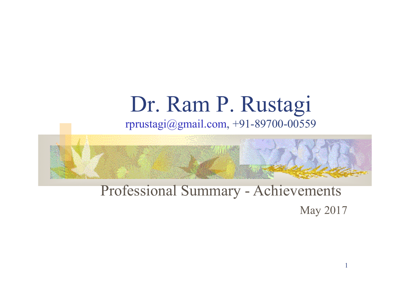### Dr. Ram P. Rustagi rprustagi@gmail.com, +91-89700-00559



### Professional Summary - Achievements May 2017

1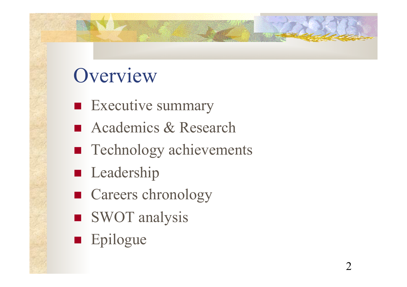### Overview

- $\blacksquare$  Executive summary
- Academics & Research
- Technology achievements
- **n** Leadership
- Careers chronology
- SWOT analysis
- **n** Epilogue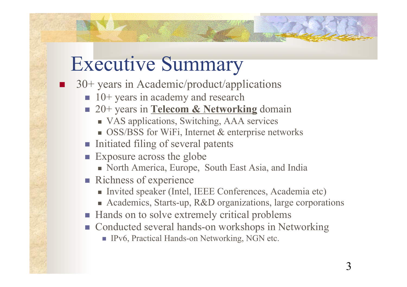### Executive Summary

- 30+ years in Academic/product/applications
	- $\blacksquare$  10+ years in academy and research
	- <sup>n</sup> 20+ years in **Telecom & Networking** domain
		- VAS applications, Switching, AAA services
		- $\blacksquare$  OSS/BSS for WiFi, Internet & enterprise networks
	- Initiated filing of several patents
	- **Exposure across the globe** 
		- <sup>n</sup> North America, Europe, South East Asia, and India
	- $\blacksquare$  Richness of experience
		- <sup>n</sup> Invited speaker (Intel, IEEE Conferences, Academia etc)
		- Academics, Starts-up, R&D organizations, large corporations
	- Hands on to solve extremely critical problems
	- Conducted several hands-on workshops in Networking
		- IPv6, Practical Hands-on Networking, NGN etc.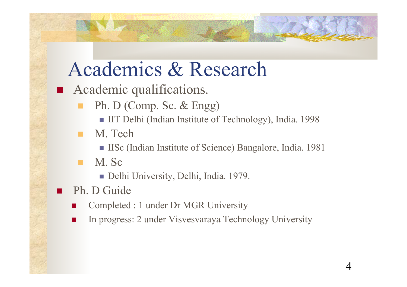## Academics & Research

- **n** Academic qualifications.
	- **n** Ph. D (Comp. Sc.  $&$  Engg)
		- <sup>n</sup> IIT Delhi (Indian Institute of Technology), India. 1998
	- M. Tech
		- <sup>n</sup> IISc (Indian Institute of Science) Bangalore, India. 1981
	- $M.$  Sc
		- Delhi University, Delhi, India. 1979.
	- Ph. D Guide
		- Completed : 1 under Dr MGR University
		- n In progress: 2 under Visvesvaraya Technology University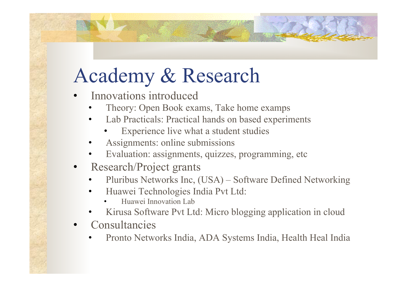# Academy & Research

- Innovations introduced
	- Theory: Open Book exams, Take home examps
	- Lab Practicals: Practical hands on based experiments
		- Experience live what a student studies
	- Assignments: online submissions
	- Evaluation: assignments, quizzes, programming, etc
- Research/Project grants
	- Pluribus Networks Inc, (USA) Software Defined Networking
	- Huawei Technologies India Pvt Ltd:
		- Huawei Innovation Lab
	- Kirusa Software Pvt Ltd: Micro blogging application in cloud
- **Consultancies** 
	- Pronto Networks India, ADA Systems India, Health Heal India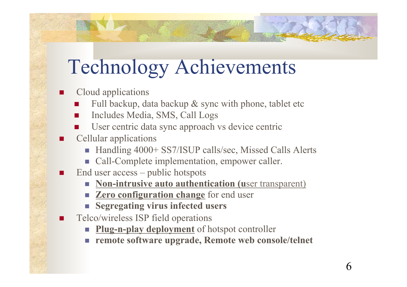# Technology Achievements

Cloud applications

- Full backup, data backup & sync with phone, tablet etc
- Includes Media, SMS, Call Logs
- User centric data sync approach vs device centric
- Cellular applications
	- Handling 4000+ SS7/ISUP calls/sec, Missed Calls Alerts
	- Call-Complete implementation, empower caller.
- End user  $access$  public hotspots
	- **Non-intrusive auto authentication (user transparent)**
	- **Example 1 2 Lero configuration change** for end user
	- <sup>n</sup> **Segregating virus infected users**
- Telco/wireless ISP field operations
	- **Plug-n-play deployment** of hotspot controller
	- <sup>n</sup> **remote software upgrade, Remote web console/telnet**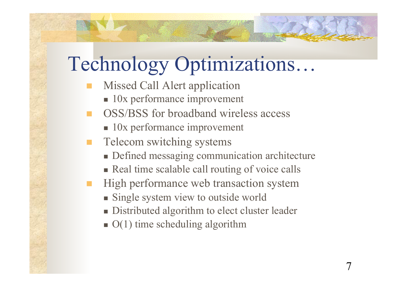# Technology Optimizations…

- Missed Call Alert application
	- $\blacksquare$  10x performance improvement
- n OSS/BSS for broadband wireless access
	- $\blacksquare$  10x performance improvement
- Telecom switching systems
	- Defined messaging communication architecture
	- Real time scalable call routing of voice calls
- High performance web transaction system
	- **n** Single system view to outside world
	- Distributed algorithm to elect cluster leader
	- $\bullet$  O(1) time scheduling algorithm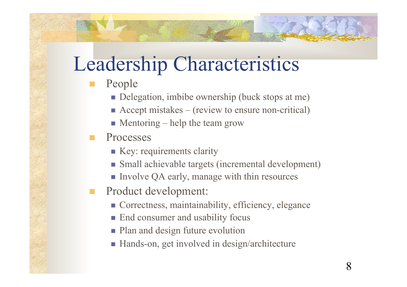## Leadership Characteristics

- People
	- Delegation, imbibe ownership (buck stops at me)
	- $\blacksquare$  Accept mistakes (review to ensure non-critical)
	- $\blacksquare$  Mentoring help the team grow
- Processes
	- $\blacksquare$  Key: requirements clarity
	- <sup>n</sup> Small achievable targets (incremental development)
	- Involve QA early, manage with thin resources
- **n** Product development:
	- **n** Correctness, maintainability, efficiency, elegance
	- End consumer and usability focus
	- Plan and design future evolution
	- Hands-on, get involved in design/architecture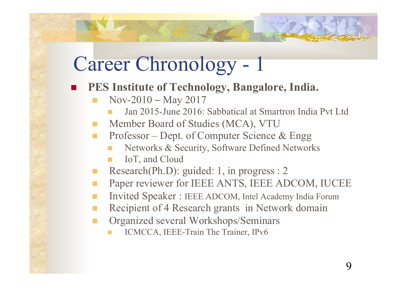#### **n PES** Institute of Technology, Bangalore, India.

- $Nov-2010 May 2017$ 
	- Jan 2015-June 2016: Sabbatical at Smartron India Pvt Ltd
- Member Board of Studies (MCA), VTU
- n Professor Dept. of Computer Science & Engg
	- Networks & Security, Software Defined Networks
	- IoT, and Cloud
- Research(Ph.D): guided: 1, in progress : 2
- n Paper reviewer for IEEE ANTS, IEEE ADCOM, IUCEE
- Invited Speaker : IEEE ADCOM, Intel Academy India Forum
- Recipient of 4 Research grants in Network domain
- Organized several Workshops/Seminars
	- ICMCCA, IEEE-Train The Trainer, IPv6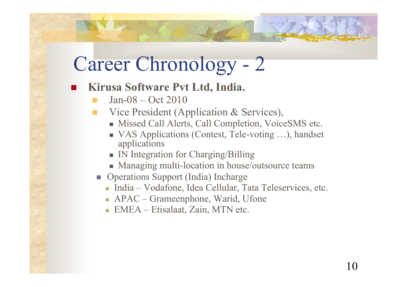#### ■ Kirusa Software Pvt Ltd, India.

- Jan-08 Oct 2010
- Vice President (Application & Services),
	- Missed Call Alerts, Call Completion, VoiceSMS etc.
	- VAS Applications (Contest, Tele-voting ...), handset applications
	- IN Integration for Charging/Billing
	- Managing multi-location in house/outsource teams
- Operations Support (India) Incharge
	- <sup>n</sup> India Vodafone, Idea Cellular, Tata Teleservices, etc.
	- APAC Grameenphone, Warid, Ufone
	- **EMEA** Etisalaat, Zain, MTN etc.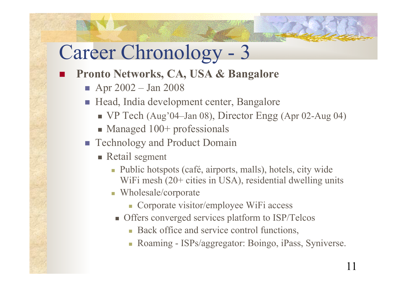#### n **Pronto Networks, CA, USA & Bangalore**

- $\blacksquare$  Apr 2002 Jan 2008
- Head, India development center, Bangalore
	- <sup>n</sup> VP Tech (Aug'04–Jan 08), Director Engg (Apr 02-Aug 04)
	- $\blacksquare$  Managed 100+ professionals
- **n** Technology and Product Domain
	- $\blacksquare$  Retail segment
		- n Public hotspots (café, airports, malls), hotels, city wide WiFi mesh (20+ cities in USA), residential dwelling units
		- <sup>n</sup> Wholesale/corporate
			- Corporate visitor/employee WiFi access
		- **n** Offers converged services platform to ISP/Telcos
			- Back office and service control functions,
			- Roaming ISPs/aggregator: Boingo, iPass, Syniverse.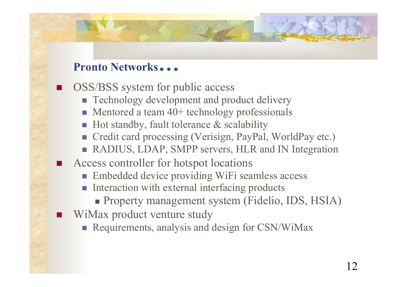#### **Pronto Networks…**

OSS/BSS system for public access

- Technology development and product delivery
- $\blacksquare$  Mentored a team 40+ technology professionals
- Hot standby, fault tolerance & scalability
- Credit card processing (Verisign, PayPal, WorldPay etc.)
- **n** RADIUS, LDAP, SMPP servers, HLR and IN Integration
- Access controller for hotspot locations
	- Embedded device providing WiFi seamless access
	- **n** Interaction with external interfacing products
		- **Property management system (Fidelio, IDS, HSIA)**
- WiMax product venture study
	- **Requirements, analysis and design for CSN/WiMax**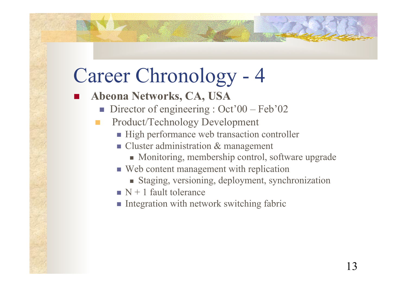- n **Abeona Networks, CA, USA** 
	- Director of engineering :  $Oct'00 Feb'02$
	- Product/Technology Development
		- <sup>n</sup> High performance web transaction controller
		- Cluster administration & management
			- Monitoring, membership control, software upgrade
		- <sup>n</sup> Web content management with replication
			- <sup>n</sup> Staging, versioning, deployment, synchronization
		- $\blacksquare$  N + 1 fault tolerance
		- $\blacksquare$  Integration with network switching fabric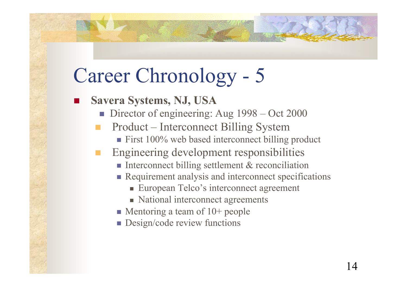- n **Savera Systems, NJ, USA** 
	- Director of engineering: Aug 1998 Oct 2000
	- n Product Interconnect Billing System
		- $\blacksquare$  First 100% web based interconnect billing product
	- n Engineering development responsibilities
		- Interconnect billing settlement  $&$  reconciliation
		- **n** Requirement analysis and interconnect specifications
			- European Telco's interconnect agreement
			- National interconnect agreements
		- $\blacksquare$  Mentoring a team of 10+ people
		- $\blacksquare$  Design/code review functions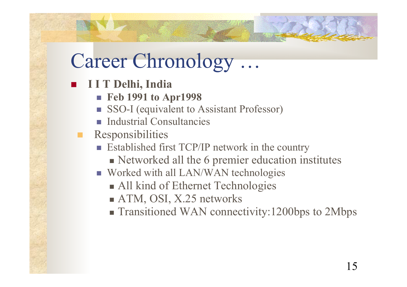- n **I I T Delhi, India** 
	- <sup>n</sup> **Feb 1991 to Apr1998**
	- SSO-I (equivalent to Assistant Professor)
	- <sup>n</sup> Industrial Consultancies
	- **Responsibilities** 
		- Established first TCP/IP network in the country
			- Networked all the 6 premier education institutes
		- Worked with all LAN/WAN technologies
			- All kind of Ethernet Technologies
			- $\blacksquare$  ATM, OSI, X.25 networks
			- Transitioned WAN connectivity:1200bps to 2Mbps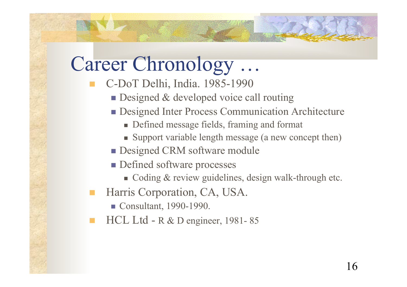- n C-DoT Delhi, India. 1985-1990
	- $\blacksquare$  Designed & developed voice call routing
	- **n** Designed Inter Process Communication Architecture
		- **n** Defined message fields, framing and format
		- <sup>n</sup> Support variable length message (a new concept then)
	- **n** Designed CRM software module
	- **n** Defined software processes
		- $\blacksquare$  Coding & review guidelines, design walk-through etc.
- Harris Corporation, CA, USA.
	- **n** Consultant, 1990-1990.
- HCL Ltd R & D engineer, 1981-85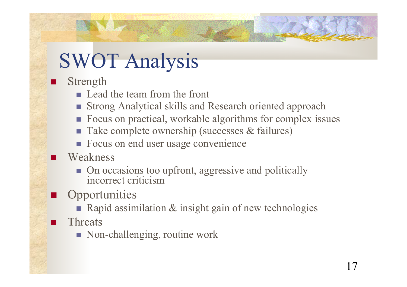# SWOT Analysis

Strength

- **n** Lead the team from the front
- Strong Analytical skills and Research oriented approach
- Focus on practical, workable algorithms for complex issues
- Take complete ownership (successes & failures)
- Focus on end user usage convenience
- Weakness
	- On occasions too upfront, aggressive and politically incorrect criticism
- **Opportunities** 
	- Rapid assimilation  $\&$  insight gain of new technologies
- **Threats** 
	- $\blacksquare$  Non-challenging, routine work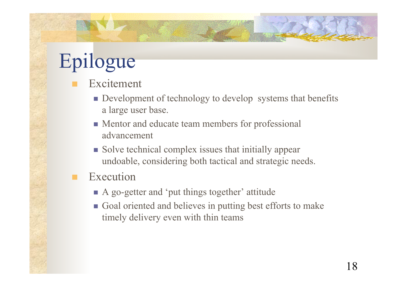# Epilogue

- Excitement
	- **n** Development of technology to develop systems that benefits a large user base.
	- Mentor and educate team members for professional advancement
	- Solve technical complex issues that initially appear undoable, considering both tactical and strategic needs.
- **Execution** 
	- <sup>n</sup> A go-getter and 'put things together' attitude
	- Goal oriented and believes in putting best efforts to make timely delivery even with thin teams